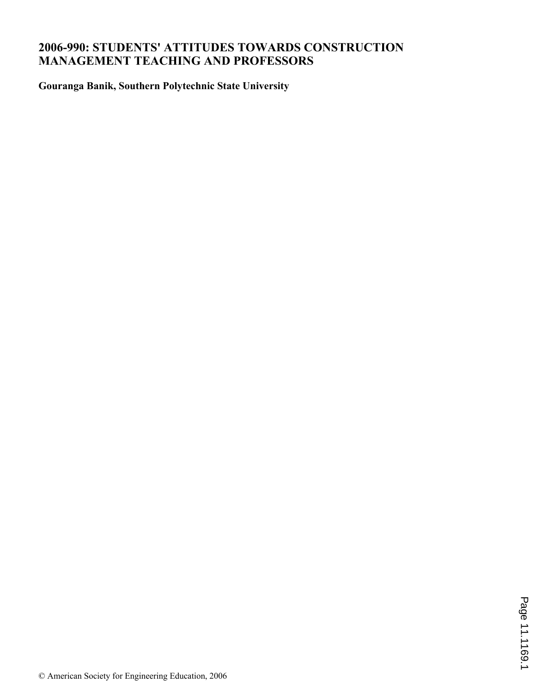# **2006-990: STUDENTS' ATTITUDES TOWARDS CONSTRUCTION MANAGEMENT TEACHING AND PROFESSORS**

**Gouranga Banik, Southern Polytechnic State University**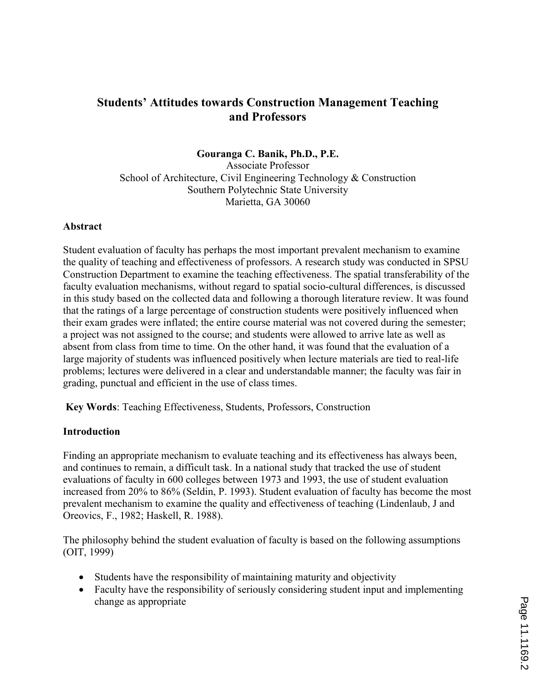# Students' Attitudes towards Construction Management Teaching and Professors

#### Gouranga C. Banik, Ph.D., P.E.

Associate Professor School of Architecture, Civil Engineering Technology & Construction Southern Polytechnic State University Marietta, GA 30060

#### Abstract

Student evaluation of faculty has perhaps the most important prevalent mechanism to examine the quality of teaching and effectiveness of professors. A research study was conducted in SPSU Construction Department to examine the teaching effectiveness. The spatial transferability of the faculty evaluation mechanisms, without regard to spatial socio-cultural differences, is discussed in this study based on the collected data and following a thorough literature review. It was found that the ratings of a large percentage of construction students were positively influenced when their exam grades were inflated; the entire course material was not covered during the semester; a project was not assigned to the course; and students were allowed to arrive late as well as absent from class from time to time. On the other hand, it was found that the evaluation of a large majority of students was influenced positively when lecture materials are tied to real-life problems; lectures were delivered in a clear and understandable manner; the faculty was fair in grading, punctual and efficient in the use of class times.

Key Words: Teaching Effectiveness, Students, Professors, Construction

#### Introduction

Finding an appropriate mechanism to evaluate teaching and its effectiveness has always been, and continues to remain, a difficult task. In a national study that tracked the use of student evaluations of faculty in 600 colleges between 1973 and 1993, the use of student evaluation increased from 20% to 86% (Seldin, P. 1993). Student evaluation of faculty has become the most prevalent mechanism to examine the quality and effectiveness of teaching (Lindenlaub, J and Oreovics, F., 1982; Haskell, R. 1988).

The philosophy behind the student evaluation of faculty is based on the following assumptions (OIT, 1999)

- Students have the responsibility of maintaining maturity and objectivity
- Faculty have the responsibility of seriously considering student input and implementing change as appropriate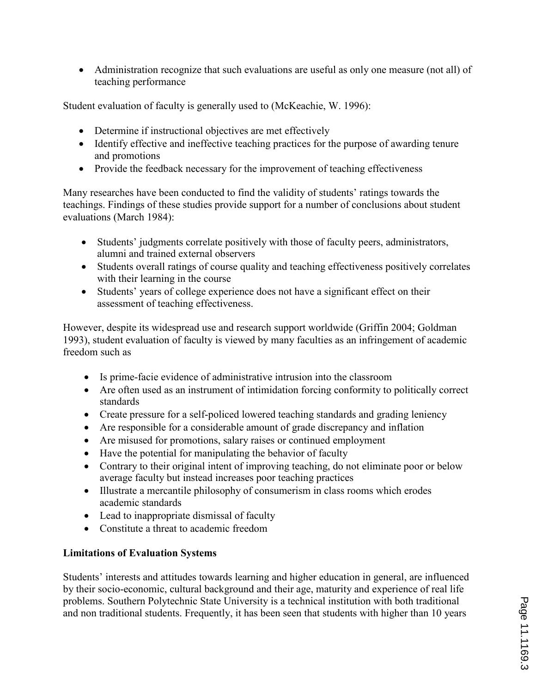• Administration recognize that such evaluations are useful as only one measure (not all) of teaching performance

Student evaluation of faculty is generally used to (McKeachie, W. 1996):

- Determine if instructional objectives are met effectively
- Identify effective and ineffective teaching practices for the purpose of awarding tenure and promotions
- Provide the feedback necessary for the improvement of teaching effectiveness

Many researches have been conducted to find the validity of students' ratings towards the teachings. Findings of these studies provide support for a number of conclusions about student evaluations (March 1984):

- Students' judgments correlate positively with those of faculty peers, administrators, alumni and trained external observers
- Students overall ratings of course quality and teaching effectiveness positively correlates with their learning in the course
- Students' years of college experience does not have a significant effect on their assessment of teaching effectiveness.

However, despite its widespread use and research support worldwide (Griffin 2004; Goldman 1993), student evaluation of faculty is viewed by many faculties as an infringement of academic freedom such as

- Is prime-facie evidence of administrative intrusion into the classroom
- Are often used as an instrument of intimidation forcing conformity to politically correct standards
- Create pressure for a self-policed lowered teaching standards and grading leniency
- Are responsible for a considerable amount of grade discrepancy and inflation
- Are misused for promotions, salary raises or continued employment
- Have the potential for manipulating the behavior of faculty
- Contrary to their original intent of improving teaching, do not eliminate poor or below average faculty but instead increases poor teaching practices
- Illustrate a mercantile philosophy of consumerism in class rooms which erodes academic standards
- Lead to inappropriate dismissal of faculty
- Constitute a threat to academic freedom

## Limitations of Evaluation Systems

Students' interests and attitudes towards learning and higher education in general, are influenced by their socio-economic, cultural background and their age, maturity and experience of real life problems. Southern Polytechnic State University is a technical institution with both traditional and non traditional students. Frequently, it has been seen that students with higher than 10 years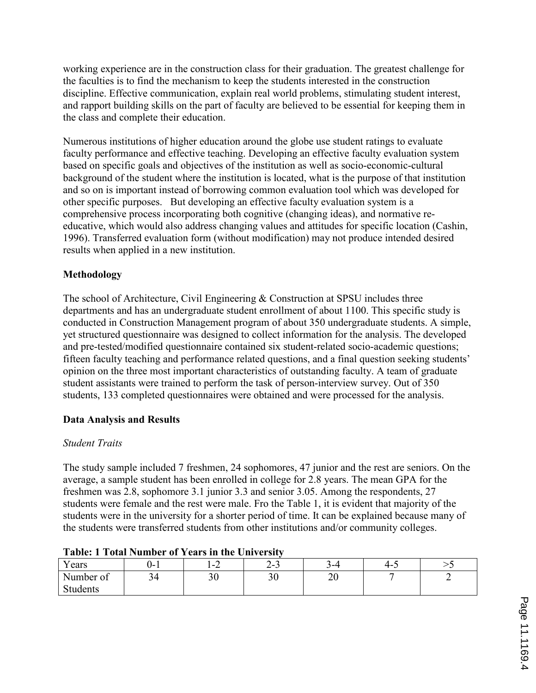working experience are in the construction class for their graduation. The greatest challenge for the faculties is to find the mechanism to keep the students interested in the construction discipline. Effective communication, explain real world problems, stimulating student interest, and rapport building skills on the part of faculty are believed to be essential for keeping them in the class and complete their education.

Numerous institutions of higher education around the globe use student ratings to evaluate faculty performance and effective teaching. Developing an effective faculty evaluation system based on specific goals and objectives of the institution as well as socio-economic-cultural background of the student where the institution is located, what is the purpose of that institution and so on is important instead of borrowing common evaluation tool which was developed for other specific purposes. But developing an effective faculty evaluation system is a comprehensive process incorporating both cognitive (changing ideas), and normative reeducative, which would also address changing values and attitudes for specific location (Cashin, 1996). Transferred evaluation form (without modification) may not produce intended desired results when applied in a new institution.

# Methodology

The school of Architecture, Civil Engineering & Construction at SPSU includes three departments and has an undergraduate student enrollment of about 1100. This specific study is conducted in Construction Management program of about 350 undergraduate students. A simple, yet structured questionnaire was designed to collect information for the analysis. The developed and pre-tested/modified questionnaire contained six student-related socio-academic questions; fifteen faculty teaching and performance related questions, and a final question seeking students' opinion on the three most important characteristics of outstanding faculty. A team of graduate student assistants were trained to perform the task of person-interview survey. Out of 350 students, 133 completed questionnaires were obtained and were processed for the analysis.

## Data Analysis and Results

## Student Traits

The study sample included 7 freshmen, 24 sophomores, 47 junior and the rest are seniors. On the average, a sample student has been enrolled in college for 2.8 years. The mean GPA for the freshmen was 2.8, sophomore 3.1 junior 3.3 and senior 3.05. Among the respondents, 27 students were female and the rest were male. Fro the Table 1, it is evident that majority of the students were in the university for a shorter period of time. It can be explained because many of the students were transferred students from other institutions and/or community colleges.

| TWOIC, I TOMM THEIRDEL OF TEMPLE MIC CHITERISM |          |           |     |          |     |  |  |  |  |
|------------------------------------------------|----------|-----------|-----|----------|-----|--|--|--|--|
| Years                                          | .        | 1 – 4     | د-∠ | 4– ^     | 4-1 |  |  |  |  |
| Number of                                      | ◝∸<br>ັ່ | ን ሰ<br>3U | 30  | ററ<br>∠∪ |     |  |  |  |  |
| Students                                       |          |           |     |          |     |  |  |  |  |

#### Table: 1 Total Number of Years in the University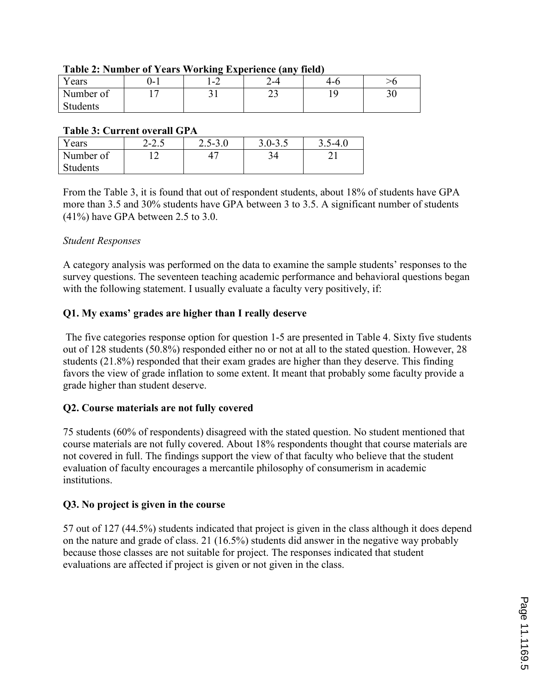|           |     | -                                  |         |     |           |
|-----------|-----|------------------------------------|---------|-----|-----------|
| ears      | J-  | $\sim$<br>$\overline{\phantom{a}}$ | ⌒<br>-4 | 4-0 |           |
| Number of | . . | ◡                                  | ر_      | . . | n r<br>υU |
| Students  |     |                                    |         |     |           |

#### Table 2: Number of Years Working Experience (any field)

#### Table 3: Current overall GPA

| Years           | $\cap$<br>2-2.J | $2.5 - 3.0$ | $3.0 - 3.5$ | $5 - 4.1$ |
|-----------------|-----------------|-------------|-------------|-----------|
| Number of       | -               |             |             |           |
| <b>Students</b> |                 |             |             |           |

From the Table 3, it is found that out of respondent students, about 18% of students have GPA more than 3.5 and 30% students have GPA between 3 to 3.5. A significant number of students (41%) have GPA between 2.5 to 3.0.

## Student Responses

A category analysis was performed on the data to examine the sample students' responses to the survey questions. The seventeen teaching academic performance and behavioral questions began with the following statement. I usually evaluate a faculty very positively, if:

# Q1. My exams' grades are higher than I really deserve

 The five categories response option for question 1-5 are presented in Table 4. Sixty five students out of 128 students (50.8%) responded either no or not at all to the stated question. However, 28 students (21.8%) responded that their exam grades are higher than they deserve. This finding favors the view of grade inflation to some extent. It meant that probably some faculty provide a grade higher than student deserve.

## Q2. Course materials are not fully covered

75 students (60% of respondents) disagreed with the stated question. No student mentioned that course materials are not fully covered. About 18% respondents thought that course materials are not covered in full. The findings support the view of that faculty who believe that the student evaluation of faculty encourages a mercantile philosophy of consumerism in academic institutions.

## Q3. No project is given in the course

57 out of 127 (44.5%) students indicated that project is given in the class although it does depend on the nature and grade of class. 21 (16.5%) students did answer in the negative way probably because those classes are not suitable for project. The responses indicated that student evaluations are affected if project is given or not given in the class.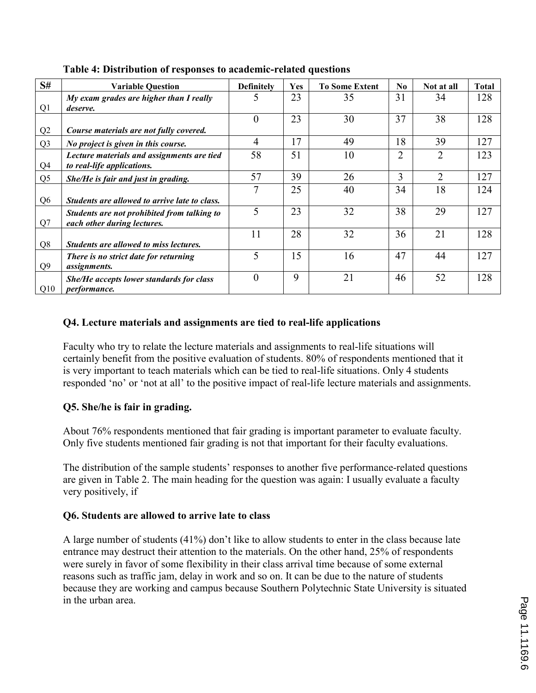| S#             | <b>Variable Question</b>                                                 | <b>Definitely</b> | Yes | <b>To Some Extent</b> | N <sub>0</sub> | Not at all     | <b>Total</b> |
|----------------|--------------------------------------------------------------------------|-------------------|-----|-----------------------|----------------|----------------|--------------|
|                | My exam grades are higher than I really                                  | 5                 | 23  | 35                    | 31             | 34             | 128          |
| Q1             | deserve.                                                                 |                   |     |                       |                |                |              |
|                |                                                                          | $\theta$          | 23  | 30                    | 37             | 38             | 128          |
| Q2             | Course materials are not fully covered.                                  |                   |     |                       |                |                |              |
| Q <sub>3</sub> | No project is given in this course.                                      | $\overline{4}$    | 17  | 49                    | 18             | 39             | 127          |
| Q4             | Lecture materials and assignments are tied<br>to real-life applications. | 58                | 51  | 10                    | 2              | $\overline{2}$ | 123          |
| Q <sub>5</sub> | She/He is fair and just in grading.                                      | 57                | 39  | 26                    | 3              | 2              | 127          |
|                |                                                                          | 7                 | 25  | 40                    | 34             | 18             | 124          |
| Q <sub>6</sub> | Students are allowed to arrive late to class.                            |                   |     |                       |                |                |              |
|                | Students are not prohibited from talking to                              | 5                 | 23  | 32                    | 38             | 29             | 127          |
| Q7             | each other during lectures.                                              |                   |     |                       |                |                |              |
|                |                                                                          | 11                | 28  | 32                    | 36             | 21             | 128          |
| Q <sub>8</sub> | Students are allowed to miss lectures.                                   |                   |     |                       |                |                |              |
| Q <sub>9</sub> | There is no strict date for returning<br><i>assignments.</i>             | 5                 | 15  | 16                    | 47             | 44             | 127          |
| Q10            | She/He accepts lower standards for class<br><i>performance.</i>          | $\theta$          | 9   | 21                    | 46             | 52             | 128          |

Table 4: Distribution of responses to academic-related questions

# Q4. Lecture materials and assignments are tied to real-life applications

Faculty who try to relate the lecture materials and assignments to real-life situations will certainly benefit from the positive evaluation of students. 80% of respondents mentioned that it is very important to teach materials which can be tied to real-life situations. Only 4 students responded 'no' or 'not at all' to the positive impact of real-life lecture materials and assignments.

## Q5. She/he is fair in grading.

About 76% respondents mentioned that fair grading is important parameter to evaluate faculty. Only five students mentioned fair grading is not that important for their faculty evaluations.

The distribution of the sample students' responses to another five performance-related questions are given in Table 2. The main heading for the question was again: I usually evaluate a faculty very positively, if

## Q6. Students are allowed to arrive late to class

A large number of students (41%) don't like to allow students to enter in the class because late entrance may destruct their attention to the materials. On the other hand, 25% of respondents were surely in favor of some flexibility in their class arrival time because of some external reasons such as traffic jam, delay in work and so on. It can be due to the nature of students because they are working and campus because Southern Polytechnic State University is situated in the urban area.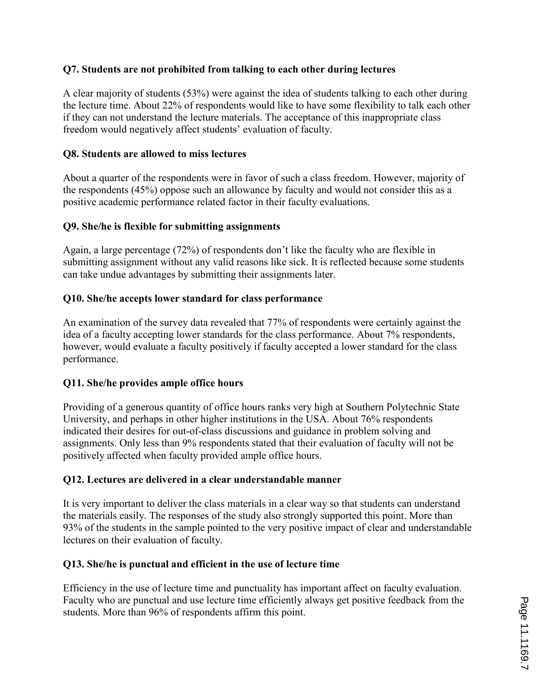# Q7. Students are not prohibited from talking to each other during lectures

A clear majority of students (53%) were against the idea of students talking to each other during the lecture time. About 22% of respondents would like to have some flexibility to talk each other if they can not understand the lecture materials. The acceptance of this inappropriate class freedom would negatively affect students' evaluation of faculty.

## Q8. Students are allowed to miss lectures

About a quarter of the respondents were in favor of such a class freedom. However, majority of the respondents (45%) oppose such an allowance by faculty and would not consider this as a positive academic performance related factor in their faculty evaluations.

#### Q9. She/he is flexible for submitting assignments

Again, a large percentage (72%) of respondents don't like the faculty who are flexible in submitting assignment without any valid reasons like sick. It is reflected because some students can take undue advantages by submitting their assignments later.

#### Q10. She/he accepts lower standard for class performance

An examination of the survey data revealed that 77% of respondents were certainly against the idea of a faculty accepting lower standards for the class performance. About 7% respondents, however, would evaluate a faculty positively if faculty accepted a lower standard for the class performance.

#### Q11. She/he provides ample office hours

Providing of a generous quantity of office hours ranks very high at Southern Polytechnic State University, and perhaps in other higher institutions in the USA. About 76% respondents indicated their desires for out-of-class discussions and guidance in problem solving and assignments. Only less than 9% respondents stated that their evaluation of faculty will not be positively affected when faculty provided ample office hours.

## Q12. Lectures are delivered in a clear understandable manner

It is very important to deliver the class materials in a clear way so that students can understand the materials easily. The responses of the study also strongly supported this point. More than 93% of the students in the sample pointed to the very positive impact of clear and understandable lectures on their evaluation of faculty.

#### Q13. She/he is punctual and efficient in the use of lecture time

Efficiency in the use of lecture time and punctuality has important affect on faculty evaluation. Faculty who are punctual and use lecture time efficiently always get positive feedback from the students. More than 96% of respondents affirm this point.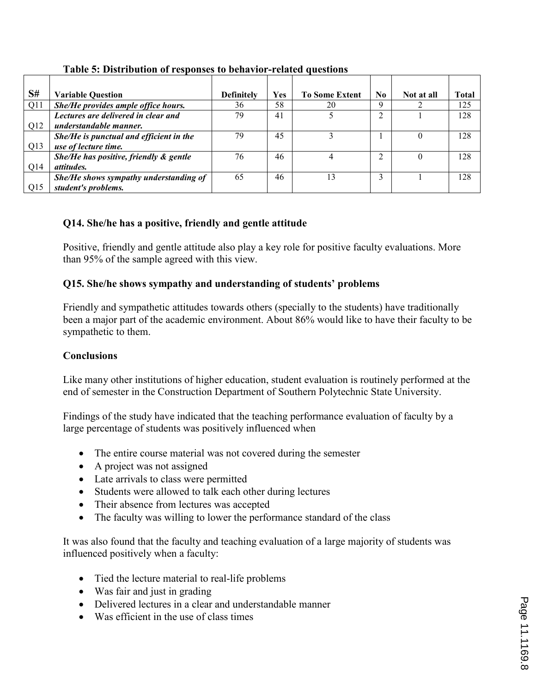| S#              | <b>Variable Question</b>                | <b>Definitely</b> | Yes | <b>To Some Extent</b> | N <sub>0</sub> | Not at all | <b>Total</b> |
|-----------------|-----------------------------------------|-------------------|-----|-----------------------|----------------|------------|--------------|
| Q11             | She/He provides ample office hours.     | 36                | 58  | 20                    | Q              |            | 125          |
|                 | Lectures are delivered in clear and     | 79                | 41  |                       | ↑              |            | 128          |
| Q12             | understandable manner.                  |                   |     |                       |                |            |              |
|                 | She/He is punctual and efficient in the | 79                | 45  |                       |                |            | 128          |
| Q13             | use of lecture time.                    |                   |     |                       |                |            |              |
|                 | She/He has positive, friendly & gentle  | 76                | 46  | 4                     |                |            | 128          |
| Q14             | <i>attitudes.</i>                       |                   |     |                       |                |            |              |
|                 | She/He shows sympathy understanding of  | 65                | 46  | 13                    | 3              |            | 128          |
| O <sub>15</sub> | student's problems.                     |                   |     |                       |                |            |              |

Table 5: Distribution of responses to behavior-related questions

# Q14. She/he has a positive, friendly and gentle attitude

Positive, friendly and gentle attitude also play a key role for positive faculty evaluations. More than 95% of the sample agreed with this view.

# Q15. She/he shows sympathy and understanding of students' problems

Friendly and sympathetic attitudes towards others (specially to the students) have traditionally been a major part of the academic environment. About 86% would like to have their faculty to be sympathetic to them.

## **Conclusions**

Like many other institutions of higher education, student evaluation is routinely performed at the end of semester in the Construction Department of Southern Polytechnic State University.

Findings of the study have indicated that the teaching performance evaluation of faculty by a large percentage of students was positively influenced when

- The entire course material was not covered during the semester
- A project was not assigned
- Late arrivals to class were permitted
- Students were allowed to talk each other during lectures
- Their absence from lectures was accepted
- The faculty was willing to lower the performance standard of the class

It was also found that the faculty and teaching evaluation of a large majority of students was influenced positively when a faculty:

- Tied the lecture material to real-life problems
- Was fair and just in grading
- Delivered lectures in a clear and understandable manner
- Was efficient in the use of class times